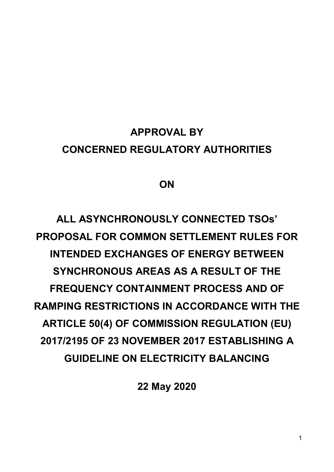# APPROVAL BY CONCERNED REGULATORY AUTHORITIES

# ON

ALL ASYNCHRONOUSLY CONNECTED TSOs' PROPOSAL FOR COMMON SETTI FMENT RULES FOR INTENDED EXCHANGES OF ENERGY BETWEEN SYNCHRONOUS AREAS AS A RESULT OF THE FREQUENCY CONTAINMENT PROCESS AND OF RAMPING RESTRICTIONS IN ACCORDANCE WITH THE ARTICLE 50(4) OF COMMISSION REGULATION (EU) 2017/2195 OF 23 NOVEMBER 2017 ESTABLISHING A GUIDELINE ON ELECTRICITY BALANCING

22 May 2020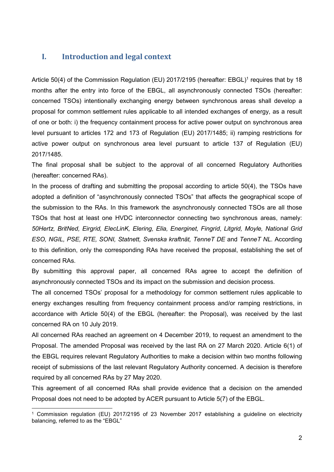# I. Introduction and legal context

Article 50(4) of the Commission Regulation (EU) 2017/2195 (hereafter: EBGL)<sup>1</sup> requires that by 18 months after the entry into force of the EBGL, all asynchronously connected TSOs (hereafter: concerned TSOs) intentionally exchanging energy between synchronous areas shall develop a proposal for common settlement rules applicable to all intended exchanges of energy, as a result of one or both: i) the frequency containment process for active power output on synchronous area level pursuant to articles 172 and 173 of Regulation (EU) 2017/1485; ii) ramping restrictions for active power output on synchronous area level pursuant to article 137 of Regulation (EU) 2017/1485.

The final proposal shall be subject to the approval of all concerned Regulatory Authorities (hereafter: concerned RAs).

In the process of drafting and submitting the proposal according to article 50(4), the TSOs have adopted a definition of "asynchronously connected TSOs" that affects the geographical scope of the submission to the RAs. In this framework the asynchronously connected TSOs are all those TSOs that host at least one HVDC interconnector connecting two synchronous areas, namely: 50Hertz, BritNed, Eirgrid, ElecLinK, Elering, Elia, Energinet, Fingrid, Litgrid, Moyle, National Grid ESO, NGIL, PSE, RTE, SONI, Statnett, Svenska kraftnät, TenneT DE and TenneT NL. According to this definition, only the corresponding RAs have received the proposal, establishing the set of concerned RAs.

By submitting this approval paper, all concerned RAs agree to accept the definition of asynchronously connected TSOs and its impact on the submission and decision process.

The all concerned TSOs' proposal for a methodology for common settlement rules applicable to energy exchanges resulting from frequency containment process and/or ramping restrictions, in accordance with Article 50(4) of the EBGL (hereafter: the Proposal), was received by the last concerned RA on 10 July 2019.

All concerned RAs reached an agreement on 4 December 2019, to request an amendment to the Proposal. The amended Proposal was received by the last RA on 27 March 2020. Article 6(1) of the EBGL requires relevant Regulatory Authorities to make a decision within two months following receipt of submissions of the last relevant Regulatory Authority concerned. A decision is therefore required by all concerned RAs by 27 May 2020.

This agreement of all concerned RAs shall provide evidence that a decision on the amended Proposal does not need to be adopted by ACER pursuant to Article 5(7) of the EBGL.

-

<sup>1</sup> Commission regulation (EU) 2017/2195 of 23 November 2017 establishing a guideline on electricity balancing, referred to as the "EBGL"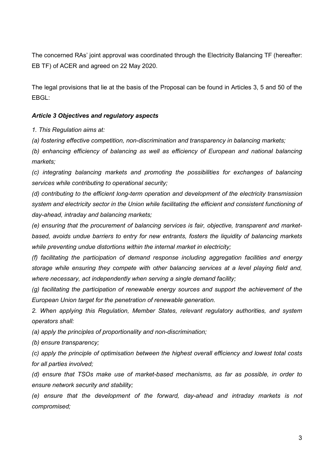The concerned RAs' joint approval was coordinated through the Electricity Balancing TF (hereafter: EB TF) of ACER and agreed on 22 May 2020.

The legal provisions that lie at the basis of the Proposal can be found in Articles 3, 5 and 50 of the EBGL:

#### Article 3 Objectives and regulatory aspects

1. This Regulation aims at:

(a) fostering effective competition, non-discrimination and transparency in balancing markets;

(b) enhancing efficiency of balancing as well as efficiency of European and national balancing markets;

(c) integrating balancing markets and promoting the possibilities for exchanges of balancing services while contributing to operational security;

(d) contributing to the efficient long-term operation and development of the electricity transmission system and electricity sector in the Union while facilitating the efficient and consistent functioning of day-ahead, intraday and balancing markets;

(e) ensuring that the procurement of balancing services is fair, objective, transparent and marketbased, avoids undue barriers to entry for new entrants, fosters the liquidity of balancing markets while preventing undue distortions within the internal market in electricity;

(f) facilitating the participation of demand response including aggregation facilities and energy storage while ensuring they compete with other balancing services at a level playing field and, where necessary, act independently when serving a single demand facility;

(g) facilitating the participation of renewable energy sources and support the achievement of the European Union target for the penetration of renewable generation.

2. When applying this Regulation, Member States, relevant regulatory authorities, and system operators shall:

(a) apply the principles of proportionality and non-discrimination;

(b) ensure transparency;

(c) apply the principle of optimisation between the highest overall efficiency and lowest total costs for all parties involved;

(d) ensure that TSOs make use of market-based mechanisms, as far as possible, in order to ensure network security and stability;

(e) ensure that the development of the forward, day-ahead and intraday markets is not compromised;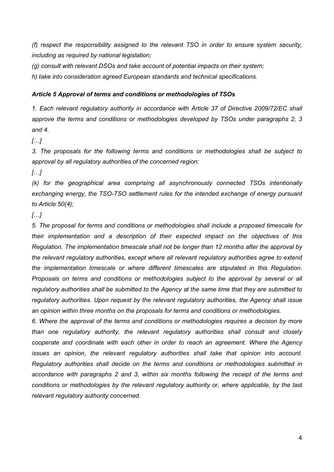(f) respect the responsibility assigned to the relevant TSO in order to ensure system security, including as required by national legislation;

(g) consult with relevant DSOs and take account of potential impacts on their system;

h) take into consideration agreed European standards and technical specifications.

#### Article 5 Approval of terms and conditions or methodologies of TSOs

1. Each relevant regulatory authority in accordance with Article 37 of Directive 2009/72/EC shall approve the terms and conditions or methodologies developed by TSOs under paragraphs 2, 3 and 4.

 $\left[\ldots\right]$ 

3. The proposals for the following terms and conditions or methodologies shall be subject to approval by all regulatory authorities of the concerned region:

 $[\ldots]$ 

(k) for the geographical area comprising all asynchronously connected TSOs intentionally exchanging energy, the TSO-TSO settlement rules for the intended exchange of energy pursuant to Article 50(4);

#### $\left[\ldots\right]$

5. The proposal for terms and conditions or methodologies shall include a proposed timescale for their implementation and a description of their expected impact on the objectives of this Regulation. The implementation timescale shall not be longer than 12 months after the approval by the relevant regulatory authorities, except where all relevant regulatory authorities agree to extend the implementation timescale or where different timescales are stipulated in this Regulation. Proposals on terms and conditions or methodologies subject to the approval by several or all regulatory authorities shall be submitted to the Agency at the same time that they are submitted to regulatory authorities. Upon request by the relevant regulatory authorities, the Agency shall issue an opinion within three months on the proposals for terms and conditions or methodologies.

6. Where the approval of the terms and conditions or methodologies requires a decision by more than one regulatory authority, the relevant regulatory authorities shall consult and closely cooperate and coordinate with each other in order to reach an agreement. Where the Agency issues an opinion, the relevant regulatory authorities shall take that opinion into account. Regulatory authorities shall decide on the terms and conditions or methodologies submitted in accordance with paragraphs 2 and 3, within six months following the receipt of the terms and conditions or methodologies by the relevant regulatory authority or, where applicable, by the last relevant regulatory authority concerned.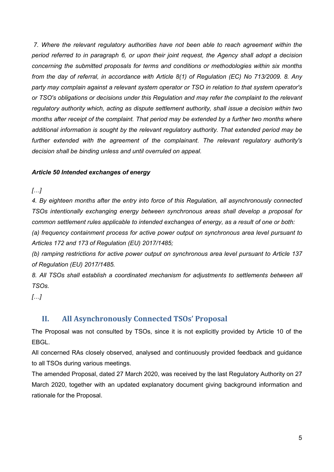7. Where the relevant regulatory authorities have not been able to reach agreement within the period referred to in paragraph 6, or upon their joint request, the Agency shall adopt a decision concerning the submitted proposals for terms and conditions or methodologies within six months from the day of referral, in accordance with Article 8(1) of Regulation (EC) No 713/2009. 8. Any party may complain against a relevant system operator or TSO in relation to that system operator's or TSO's obligations or decisions under this Regulation and may refer the complaint to the relevant regulatory authority which, acting as dispute settlement authority, shall issue a decision within two months after receipt of the complaint. That period may be extended by a further two months where additional information is sought by the relevant regulatory authority. That extended period may be further extended with the agreement of the complainant. The relevant regulatory authority's decision shall be binding unless and until overruled on appeal.

#### Article 50 Intended exchanges of energy

 $\lbrack$ ... $\lbrack$ 

4. By eighteen months after the entry into force of this Regulation, all asynchronously connected TSOs intentionally exchanging energy between synchronous areas shall develop a proposal for common settlement rules applicable to intended exchanges of energy, as a result of one or both:

(a) frequency containment process for active power output on synchronous area level pursuant to Articles 172 and 173 of Regulation (EU) 2017/1485;

(b) ramping restrictions for active power output on synchronous area level pursuant to Article 137 of Regulation (EU) 2017/1485.

8. All TSOs shall establish a coordinated mechanism for adjustments to settlements between all TSOs.

 $[\ldots]$ 

# II. All Asynchronously Connected TSOs' Proposal

The Proposal was not consulted by TSOs, since it is not explicitly provided by Article 10 of the EBGL.

All concerned RAs closely observed, analysed and continuously provided feedback and guidance to all TSOs during various meetings.

The amended Proposal, dated 27 March 2020, was received by the last Regulatory Authority on 27 March 2020, together with an updated explanatory document giving background information and rationale for the Proposal.